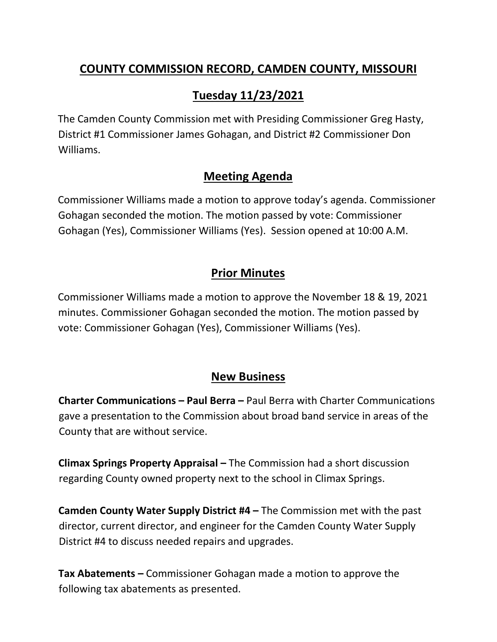## **COUNTY COMMISSION RECORD, CAMDEN COUNTY, MISSOURI**

# **Tuesday 11/23/2021**

The Camden County Commission met with Presiding Commissioner Greg Hasty, District #1 Commissioner James Gohagan, and District #2 Commissioner Don Williams.

### **Meeting Agenda**

Commissioner Williams made a motion to approve today's agenda. Commissioner Gohagan seconded the motion. The motion passed by vote: Commissioner Gohagan (Yes), Commissioner Williams (Yes). Session opened at 10:00 A.M.

## **Prior Minutes**

Commissioner Williams made a motion to approve the November 18 & 19, 2021 minutes. Commissioner Gohagan seconded the motion. The motion passed by vote: Commissioner Gohagan (Yes), Commissioner Williams (Yes).

#### **New Business**

**Charter Communications – Paul Berra –** Paul Berra with Charter Communications gave a presentation to the Commission about broad band service in areas of the County that are without service.

**Climax Springs Property Appraisal –** The Commission had a short discussion regarding County owned property next to the school in Climax Springs.

**Camden County Water Supply District #4 –** The Commission met with the past director, current director, and engineer for the Camden County Water Supply District #4 to discuss needed repairs and upgrades.

**Tax Abatements –** Commissioner Gohagan made a motion to approve the following tax abatements as presented.